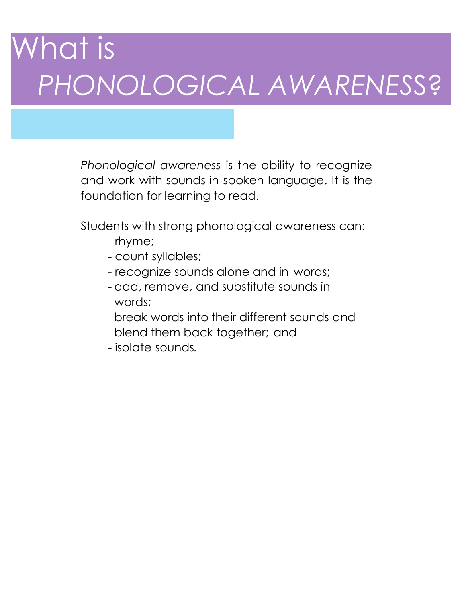# What is *PHONOLOGICAL AWARENES*S?

*Phonological awareness* is the ability to recognize and work with sounds in spoken language. It is the foundation for learning to read.

Students with strong phonological awareness can:

- rhyme;
- count syllables;
- recognize sounds alone and in words;
- add, remove, and substitute sounds in words;
- break words into their different sounds and blend them back together; and
- isolate sounds*.*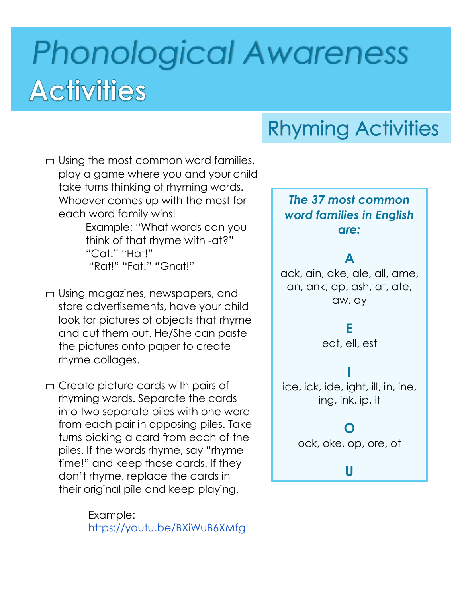# *Phonological Awareness* **Activities**

### **Rhyming Activities**

 $\Box$  Using the most common word families, play a game where you and your child take turns thinking of rhyming words. Whoever comes up with the most for each word family wins! Example: "What words can you think of that rhyme with -at?" "Cat!" "Hat!" "Rat!" "Fat!" "Gnat!"

 $\Box$  Using magazines, newspapers, and store advertisements, have your child look for pictures of objects that rhyme and cut them out. He/She can paste the pictures onto paper to create rhyme collages.

 $\Box$  Create picture cards with pairs of rhyming words. Separate the cards into two separate piles with one word from each pair in opposing piles. Take turns picking a card from each of the piles. If the words rhyme, say "rhyme time!" and keep those cards. If they don't rhyme, replace the cards in their original pile and keep playing.

> Example: <https://youtu.be/BXiWuB6XMfg>

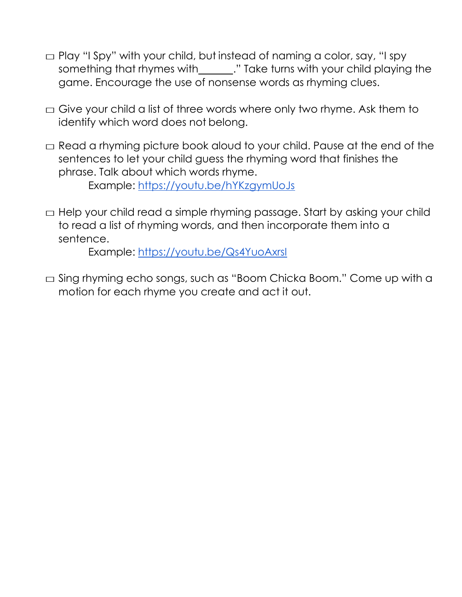- $\Box$  Play "I Spy" with your child, but instead of naming a color, say, "I spy something that rhymes with \_\_\_\_\_\_." Take turns with your child playing the game. Encourage the use of nonsense words as rhyming clues.
- $\Box$  Give your child a list of three words where only two rhyme. Ask them to identify which word does not belong.
- $\Box$  Read a rhyming picture book aloud to your child. Pause at the end of the sentences to let your child guess the rhyming word that finishes the phrase. Talk about which words rhyme. Example: <https://youtu.be/hYKzgymUoJs>
- $\Box$  Help your child read a simple rhyming passage. Start by asking your child to read a list of rhyming words, and then incorporate them into a sentence.

Example:<https://youtu.be/Qs4YuoAxrsI>

□ Sing rhyming echo songs, such as "Boom Chicka Boom." Come up with a motion for each rhyme you create and act it out.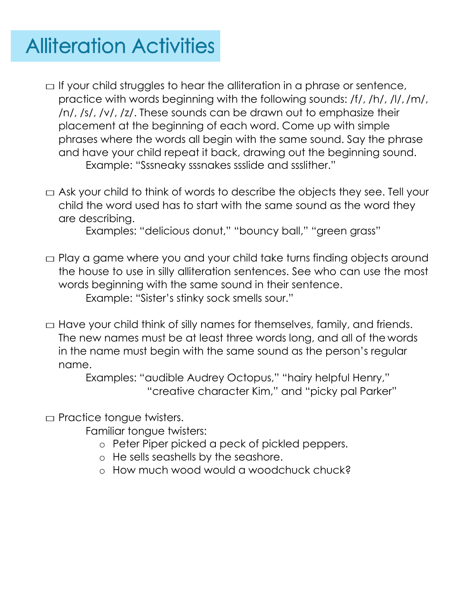### **Alliteration Activities**

- $\Box$  If your child struggles to hear the alliteration in a phrase or sentence, practice with words beginning with the following sounds: /f/, /h/, /l/, /m/, /n/, /s/, /v/, /z/. These sounds can be drawn out to emphasize their placement at the beginning of each word. Come up with simple phrases where the words all begin with the same sound. Say the phrase and have your child repeat it back, drawing out the beginning sound. Example: "Sssneaky sssnakes ssslide and ssslither."
- $\Box$  Ask your child to think of words to describe the objects they see. Tell your child the word used has to start with the same sound as the word they are describing.

Examples: "delicious donut," "bouncy ball," "green grass"

- $\Box$  Play a game where you and your child take turns finding objects around the house to use in silly alliteration sentences. See who can use the most words beginning with the same sound in their sentence. Example: "Sister's stinky sock smells sour."
- $\Box$  Have your child think of silly names for themselves, family, and friends. The new names must be at least three words long, and all of the words in the name must begin with the same sound as the person's regular name.

Examples: "audible Audrey Octopus," "hairy helpful Henry," "creative character Kim," and "picky pal Parker"

 $\Box$  Practice tongue twisters.

Familiar tongue twisters:

- o Peter Piper picked a peck of pickled peppers.
- o He sells seashells by the seashore.
- o How much wood would a woodchuck chuck?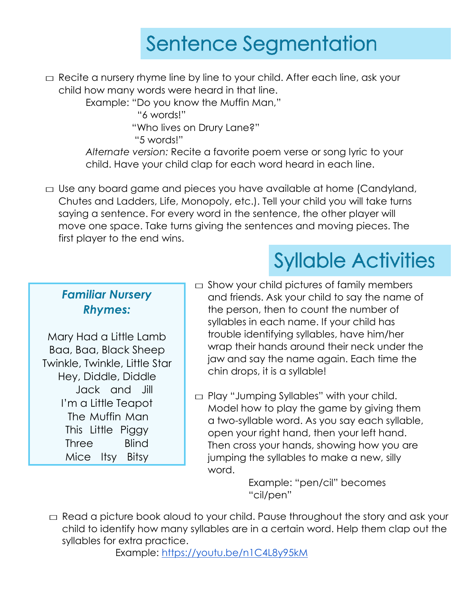#### **Sentence Segmentation**

 $\Box$  Recite a nursery rhyme line by line to your child. After each line, ask your child how many words were heard in that line.

Example: "Do you know the Muffin Man,"

"6 words!"

"Who lives on Drury Lane?"

"5 words!"

*Alternate version:* Recite a favorite poem verse or song lyric to your child. Have your child clap for each word heard in each line.

□ Use any board game and pieces you have available at home (Candyland, Chutes and Ladders, Life, Monopoly, etc.). Tell your child you will take turns saying a sentence. For every word in the sentence, the other player will move one space. Take turns giving the sentences and moving pieces. The first player to the end wins.

#### *Familiar Nursery Rhymes:*

Mary Had a Little Lamb Baa, Baa, Black Sheep Twinkle, Twinkle, Little Star Hey, Diddle, Diddle Jack and Jill I'm a Little Teapot The Muffin Man This Little Piggy Three Blind Mice Itsy Bitsy

 $\Box$  Show your child pictures of family members and friends. Ask your child to say the name of the person, then to count the number of syllables in each name. If your child has trouble identifying syllables, have him/her wrap their hands around their neck under the jaw and say the name again. Each time the chin drops, it is a syllable!

**Syllable Activities** 

 $\Box$  Play "Jumping Syllables" with your child. Model how to play the game by giving them a two-syllable word. As you say each syllable, open your right hand, then your left hand. Then cross your hands, showing how you are jumping the syllables to make a new, silly word.

> Example: "pen/cil" becomes "cil/pen"

 $\Box$  Read a picture book aloud to your child. Pause throughout the story and ask your child to identify how many syllables are in a certain word. Help them clap out the syllables for extra practice.

Example:<https://youtu.be/n1C4L8y95kM>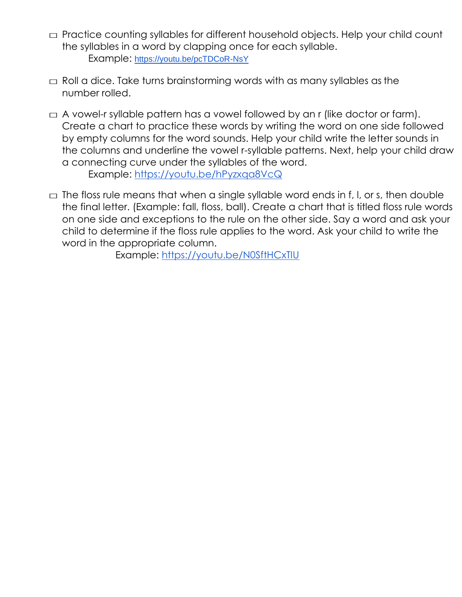- □ Practice counting syllables for different household objects. Help your child count the syllables in a word by clapping once for each syllable. Example: <https://youtu.be/pcTDCoR-NsY>
- $\Box$  Roll a dice. Take turns brainstorming words with as many syllables as the number rolled.
- $\Box$  A vowel-r syllable pattern has a vowel followed by an r (like doctor or farm). Create a chart to practice these words by writing the word on one side followed by empty columns for the word sounds. Help your child write the letter sounds in the columns and underline the vowel r-syllable patterns. Next, help your child draw a connecting curve under the syllables of the word.

Example:<https://youtu.be/hPyzxqa8VcQ>

 $\square$  The floss rule means that when a single syllable word ends in f, I, or s, then double the final letter. (Example: fall, floss, ball). Create a chart that is titled floss rule words on one side and exceptions to the rule on the other side. Say a word and ask your child to determine if the floss rule applies to the word. Ask your child to write the word in the appropriate column.

Example:<https://youtu.be/N0SftHCxTIU>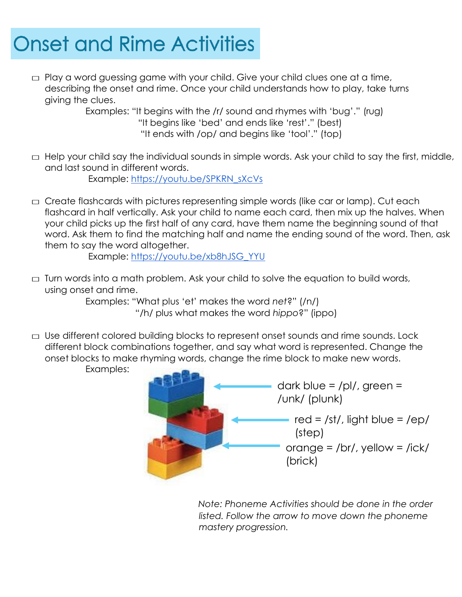### **Onset and Rime Activities**

 $\Box$  Play a word guessing game with your child. Give your child clues one at a time, describing the onset and rime. Once your child understands how to play, take turns giving the clues.

Examples: "It begins with the /r/ sound and rhymes with 'bug'." (rug) "It begins like 'bed' and ends like 'rest'." (best) "It ends with /op/ and begins like 'tool'." (top)

 $\Box$  Help your child say the individual sounds in simple words. Ask your child to say the first, middle, and last sound in different words. Example: [https://youtu.be/SPKRN\\_sXcVs](https://youtu.be/SPKRN_sXcVs)

 $\Box$  Create flashcards with pictures representing simple words (like car or lamp). Cut each flashcard in half vertically. Ask your child to name each card, then mix up the halves. When your child picks up the first half of any card, have them name the beginning sound of that word. Ask them to find the matching half and name the ending sound of the word. Then, ask them to say the word altogether.

Example: [https://youtu.be/xb8hJSG\\_YYU](https://youtu.be/xb8hJSG_YYU)

 $\Box$  Turn words into a math problem. Ask your child to solve the equation to build words, using onset and rime.

Examples: "What plus 'et' makes the word *net*?" (/n/) "/h/ plus what makes the word *hippo*?" (ippo)

 $\Box$  Use different colored building blocks to represent onset sounds and rime sounds. Lock different block combinations together, and say what word is represented. Change the onset blocks to make rhyming words, change the rime block to make new words. Examples:



*Note: Phoneme Activities should be done in the order listed. Follow the arrow to move down the phoneme mastery progression.*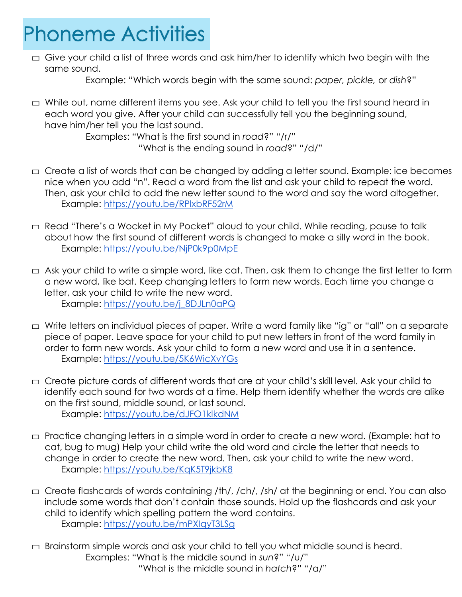#### **Phoneme Activities**

 $\Box$  Give your child a list of three words and ask him/her to identify which two begin with the same sound.

Example: "Which words begin with the same sound: *paper, pickle,* or *dish*?"

 $\Box$  While out, name different items you see. Ask your child to tell you the first sound heard in each word you give. After your child can successfully tell you the beginning sound, have him/her tell you the last sound.

Examples: "What is the first sound in *road*?" "/r/" "What is the ending sound in *road*?" "/d/"

- $\Box$  Create a list of words that can be changed by adding a letter sound. Example: ice becomes nice when you add "n". Read a word from the list and ask your child to repeat the word. Then, ask your child to add the new letter sound to the word and say the word altogether. Example: <https://youtu.be/RPlxbRF52rM>
- $\Box$  Read "There's a Wocket in My Pocket" aloud to your child. While reading, pause to talk about how the first sound of different words is changed to make a silly word in the book. Example:<https://youtu.be/NjP0k9p0MpE>
- $\Box$  Ask your child to write a simple word, like cat. Then, ask them to change the first letter to form a new word, like bat. Keep changing letters to form new words. Each time you change a letter, ask your child to write the new word. Example: [https://youtu.be/j\\_8DJLn0aPQ](https://youtu.be/j_8DJLn0aPQ)
- $\Box$  Write letters on individual pieces of paper. Write a word family like "ig" or "all" on a separate piece of paper. Leave space for your child to put new letters in front of the word family in order to form new words. Ask your child to form a new word and use it in a sentence. Example:<https://youtu.be/5K6WicXvYGs>
- $\Box$  Create picture cards of different words that are at your child's skill level. Ask your child to identify each sound for two words at a time. Help them identify whether the words are alike on the first sound, middle sound, or last sound. Example:<https://youtu.be/dJFO1klkdNM>
- $\Box$  Practice changing letters in a simple word in order to create a new word. (Example: hat to cat, bug to mug) Help your child write the old word and circle the letter that needs to change in order to create the new word. Then, ask your child to write the new word. Example:<https://youtu.be/KqK5T9jkbK8>
- $\Box$  Create flashcards of words containing /th/, /ch/, /sh/ at the beginning or end. You can also include some words that don't contain those sounds. Hold up the flashcards and ask your child to identify which spelling pattern the word contains. Example:<https://youtu.be/mPXIqyT3LSg>
- $\Box$  Brainstorm simple words and ask your child to tell you what middle sound is heard. Examples: "What is the middle sound in *sun*?" "/u/" "What is the middle sound in *hatch*?" "/a/"